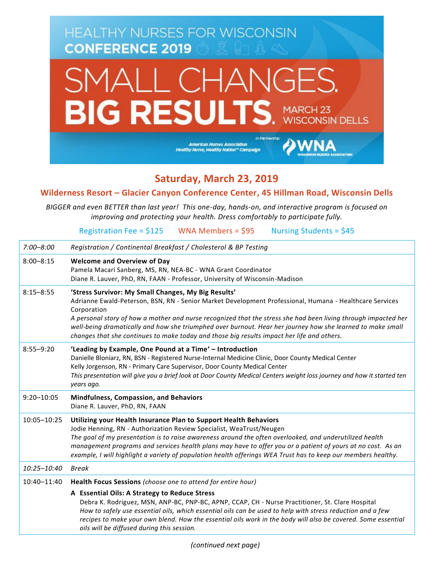

## **Saturday, March 23, 2019**

**Wilderness Resort – Glacier Canyon Conference Center, 45 Hillman Road, Wisconsin Dells**

*BIGGER and even BETTER than last year! This one-day, hands-on, and interactive program is focused on improving and protecting your health. Dress comfortably to participate fully.*

Registration Fee =  $$125$  WNA Members =  $$95$  Nursing Students =  $$45$ 

| $7:00 - 8:00$  | Registration / Continental Breakfast / Cholesterol & BP Testing                                                                                                                                                                                                                                                                                                                                                                                                                                             |
|----------------|-------------------------------------------------------------------------------------------------------------------------------------------------------------------------------------------------------------------------------------------------------------------------------------------------------------------------------------------------------------------------------------------------------------------------------------------------------------------------------------------------------------|
| $8:00 - 8:15$  | <b>Welcome and Overview of Day</b><br>Pamela Macari Sanberg, MS, RN, NEA-BC - WNA Grant Coordinator<br>Diane R. Lauver, PhD, RN, FAAN - Professor, University of Wisconsin-Madison                                                                                                                                                                                                                                                                                                                          |
| $8:15 - 8:55$  | 'Stress Survivor: My Small Changes, My Big Results'<br>Adrianne Ewald-Peterson, BSN, RN - Senior Market Development Professional, Humana - Healthcare Services<br>Corporation<br>A personal story of how a mother and nurse recognized that the stress she had been living through impacted her<br>well-being dramatically and how she triumphed over burnout. Hear her journey how she learned to make small<br>changes that she continues to make today and those big results impact her life and others. |
| $8:55 - 9:20$  | 'Leading by Example, One Pound at a Time' - Introduction<br>Danielle Bloniarz, RN, BSN - Registered Nurse-Internal Medicine Clinic, Door County Medical Center<br>Kelly Jorgenson, RN - Primary Care Supervisor, Door County Medical Center<br>This presentation will give you a brief look at Door County Medical Centers weight loss journey and how it started ten<br>years ago.                                                                                                                         |
| $9:20 - 10:05$ | Mindfulness, Compassion, and Behaviors<br>Diane R. Lauver, PhD, RN, FAAN                                                                                                                                                                                                                                                                                                                                                                                                                                    |
| 10:05-10:25    | Utilizing your Health Insurance Plan to Support Health Behaviors<br>Jodie Henning, RN - Authorization Review Specialist, WeaTrust/Neugen<br>The goal of my presentation is to raise awareness around the often overlooked, and underutilized health<br>management programs and services health plans may have to offer you or a patient of yours at no cost. As an<br>example, I will highlight a variety of population health offerings WEA Trust has to keep our members healthy.                         |
| 10:25-10:40    | <b>Break</b>                                                                                                                                                                                                                                                                                                                                                                                                                                                                                                |
| 10:40-11:40    | Health Focus Sessions (choose one to attend for entire hour)                                                                                                                                                                                                                                                                                                                                                                                                                                                |
|                | A Essential Oils: A Strategy to Reduce Stress<br>Debra K. Rodriguez, MSN, ANP-BC, PNP-BC, APNP, CCAP, CH - Nurse Practitioner, St. Clare Hospital<br>How to safely use essential oils, which essential oils can be used to help with stress reduction and a few<br>recipes to make your own blend. How the essential oils work in the body will also be covered. Some essential<br>oils will be diffused during this session.                                                                               |